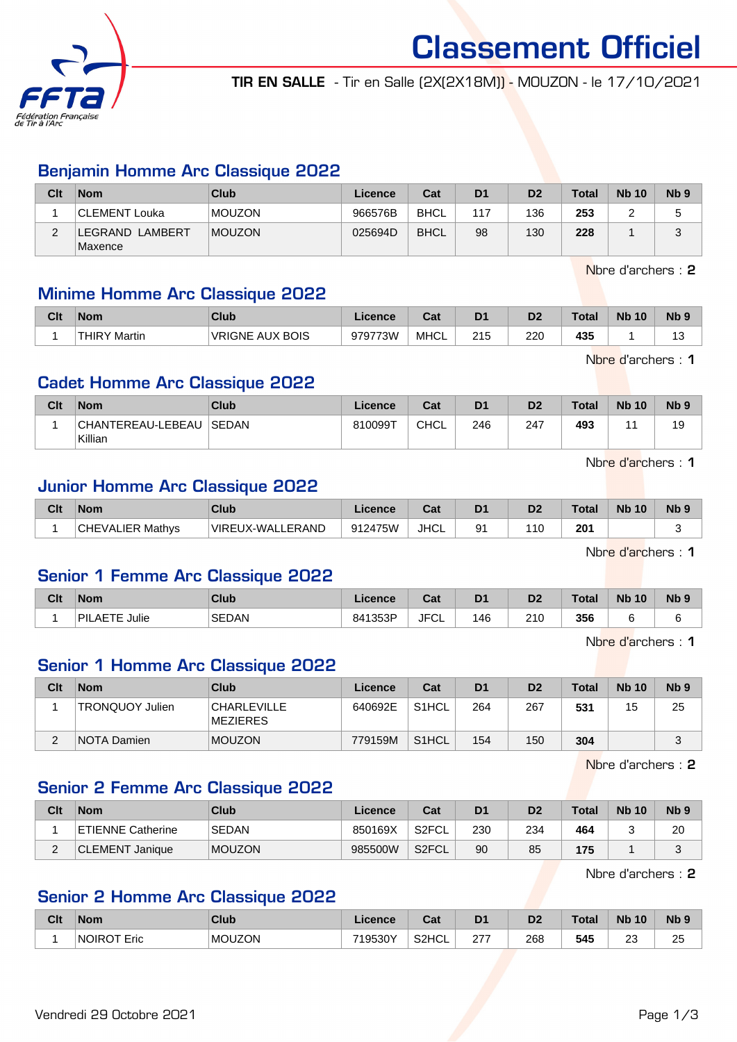

Classement Officiel TIR EN SALLE - Tir en Salle (2X(2X18M)) - MOUZON - le 17/10/2021

## Benjamin Homme Arc Classique 2022

| Clt | <b>Nom</b>                | Club          | Licence | Cat         | D <sub>1</sub> | D <sub>2</sub> | Total | <b>Nb 10</b> | N <sub>b</sub> <sub>9</sub> |
|-----|---------------------------|---------------|---------|-------------|----------------|----------------|-------|--------------|-----------------------------|
|     | <b>CLEMENT Louka</b>      | <b>MOUZON</b> | 966576B | <b>BHCL</b> | 117            | 136            | 253   |              |                             |
|     | EGRAND LAMBERT<br>Maxence | <b>MOUZON</b> | 025694D | <b>BHCL</b> | 98             | 130            | 228   |              |                             |

Nbre d'archers : 2

#### Minime Homme Arc Classique 2022

| Clt | <b>Nom</b>               | Club                   | Licence | ∩~∙<br>⊍م | D <sub>1</sub>     | D <sub>2</sub> | 'otal | <b>N<sub>b</sub></b><br>10 | $Nb$ ? |
|-----|--------------------------|------------------------|---------|-----------|--------------------|----------------|-------|----------------------------|--------|
|     | <b>THIRY N</b><br>Martin | <b>VRIGNE AUX BOIS</b> | 979773W | MHCL      | つイに<br>ں اے<br>___ | 220            | 435   |                            | ں ו    |

Nbre d'archers : 1

### Cadet Homme Arc Classique 2022

| Clt | <b>Nom</b>                   | Club         | Licence | Cat         | D <sub>1</sub> | D2  | Total | <b>Nb 10</b> | N <sub>b</sub> <sub>9</sub> |
|-----|------------------------------|--------------|---------|-------------|----------------|-----|-------|--------------|-----------------------------|
|     | CHANTEREAU-LEBEAU<br>Killian | <b>SEDAN</b> | 810099T | <b>CHCL</b> | 246            | 247 | 493   |              | 19                          |

Nbre d'archers : 1

#### Junior Homme Arc Classique 2022

| Clt | <b>Nom</b>              | Club             | Licence | <b>The State</b><br>⊍d | D <sub>1</sub> | D <sub>2</sub> | Tota. | <b>N<sub>b</sub></b><br>10 | N <sub>b</sub> <sub>9</sub> |
|-----|-------------------------|------------------|---------|------------------------|----------------|----------------|-------|----------------------------|-----------------------------|
|     | <b>CHEVALIER Mathvs</b> | VIREUX-WALLERAND | 912475W | <b>JHCL</b>            | ٥1             | 10             | 201   |                            |                             |

Nbre d'archers : 1

#### Senior 1 Femme Arc Classique 2022

| Clt | <b>Nom</b>                    | Club         | ∠icence | <b>Post</b><br>ual | D <sub>1</sub> | D <sub>2</sub> | Total | <b>N<sub>b</sub></b><br>10 <sup>°</sup> | N <sub>b</sub> <sub>9</sub> |
|-----|-------------------------------|--------------|---------|--------------------|----------------|----------------|-------|-----------------------------------------|-----------------------------|
|     | Julie<br><b>AETE</b><br>`PIL. | <b>SEDAN</b> | 841353P | <b>JFCL</b>        | 146            | 210<br>∠⊥∪     | 356   |                                         |                             |

Nbre d'archers : 1

## Senior 1 Homme Arc Classique 2022

| Clt | <b>Nom</b>             | Club                           | Licence | Cat                | D <sub>1</sub> | D <sub>2</sub> | <b>Total</b> | <b>Nb 10</b> | N <sub>b</sub> <sub>9</sub> |
|-----|------------------------|--------------------------------|---------|--------------------|----------------|----------------|--------------|--------------|-----------------------------|
|     | <b>TRONQUOY Julien</b> | <b>CHARLEVILLE</b><br>MEZIERES | 640692E | S <sub>1</sub> HCL | 264            | 267            | 531          | 15           | 25                          |
| ৴   | <b>NOTA Damien</b>     | <b>MOUZON</b>                  | 779159M | S <sub>1</sub> HCL | 154            | 150            | 304          |              | ◠                           |

Nbre d'archers : 2

#### Senior 2 Femme Arc Classique 2022

| Clt      | <b>Nom</b>               | Club          | Licence | Cat                | D <sub>1</sub> | D2  | <b>Total</b> | <b>Nb 10</b> | N <sub>b</sub> <sub>9</sub> |
|----------|--------------------------|---------------|---------|--------------------|----------------|-----|--------------|--------------|-----------------------------|
|          | <b>ETIENNE Catherine</b> | <b>SEDAN</b>  | 850169X | S2FCL <sup>®</sup> | 230            | 234 | 464          |              | 20                          |
| <u>.</u> | CLEMENT Janique          | <b>MOUZON</b> | 985500W | S <sub>2</sub> FCL | 90             | 85  | 175          |              | ີ                           |

Nbre d'archers : 2

## Senior 2 Homme Arc Classique 2022

| Clt | <b>Nom</b>         | Club          | Licence | $\sim$<br>⊍م       | ים  | D <sub>c</sub><br>ש | <b>Total</b> | <b>N<sub>b</sub></b><br>10 | N <sub>b</sub> <sub>9</sub> |
|-----|--------------------|---------------|---------|--------------------|-----|---------------------|--------------|----------------------------|-----------------------------|
|     | <b>NOIROT Eric</b> | <b>MOUZON</b> | 719530Y | S <sub>2</sub> HCL | 277 | 268<br>- -          | 545          | nn<br>2.<br>__             | 25                          |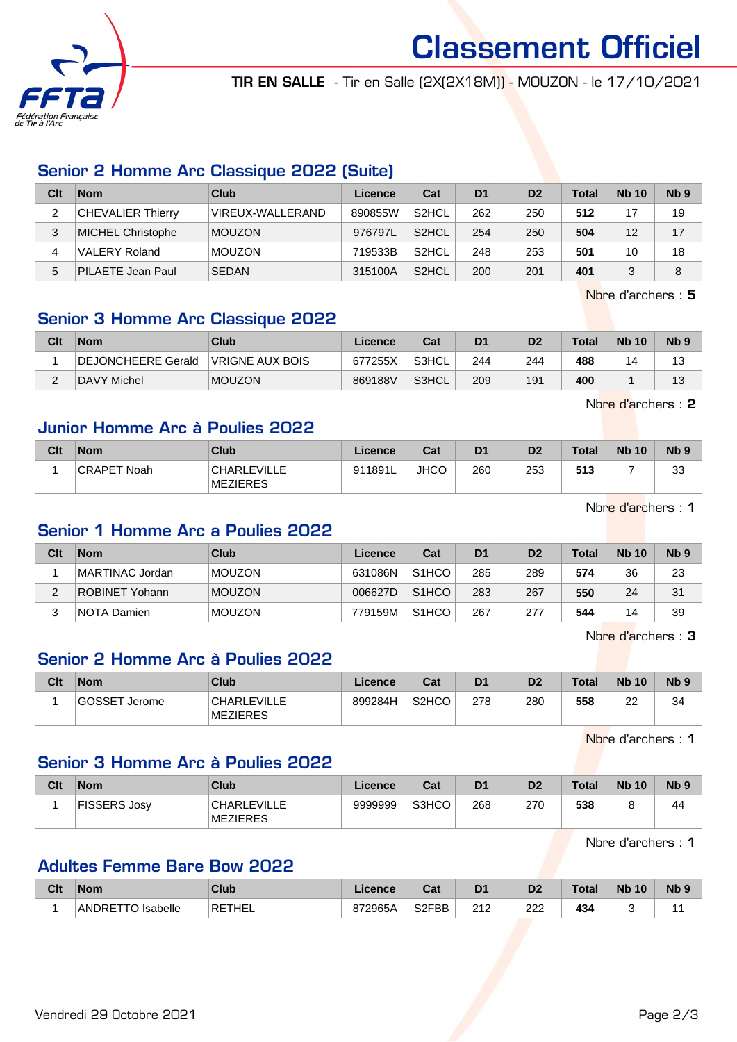

Classement Officiel

TIR EN SALLE - Tir en Salle (2X(2X18M)) - MOUZON - le 17/10/2021

## Senior 2 Homme Arc Classique 2022 (Suite)

| Clt | <b>Nom</b>               | Club             | Licence | Cat                | D <sub>1</sub> | D <sub>2</sub> | <b>Total</b> | <b>Nb 10</b> | Nb <sub>9</sub> |
|-----|--------------------------|------------------|---------|--------------------|----------------|----------------|--------------|--------------|-----------------|
| ◠   | <b>CHEVALIER Thierry</b> | VIREUX-WALLERAND | 890855W | S <sub>2</sub> HCL | 262            | 250            | 512          |              | 19              |
| 3   | <b>MICHEL Christophe</b> | <b>MOUZON</b>    | 976797L | S <sub>2</sub> HCL | 254            | 250            | 504          | 12           | 17              |
| 4   | <b>VALERY Roland</b>     | <b>MOUZON</b>    | 719533B | S <sub>2</sub> HCL | 248            | 253            | 501          | 10           | 18              |
| 5   | <b>PILAETE Jean Paul</b> | <b>SEDAN</b>     | 315100A | S <sub>2</sub> HCL | 200            | 201            | 401          |              | 8               |

Nbre d'archers : 5

## Senior 3 Homme Arc Classique 2022

| Clt | <b>Nom</b>         | Club            | Licence | Cat    | D <sub>1</sub> | D <sub>2</sub> | <b>Total</b> | <b>Nb 10</b> | Nb 9       |
|-----|--------------------|-----------------|---------|--------|----------------|----------------|--------------|--------------|------------|
|     | DEJONCHEERE Gerald | VRIGNE AUX BOIS | 677255X | `S3HCL | 244            | 244            | 488          | 4            | 4 0<br>ں ا |
| ⌒   | DAVY Michel        | <b>MOUZON</b>   | 869188V | S3HCL  | 209            | 191            | 400          |              | 1 ว<br>IJ  |

Nbre d'archers : 2

### Junior Homme Arc à Poulies 2022

| Clt | <b>Nom</b>         | <b>Club</b>                           | Licence | Cat         | D <sub>1</sub> | D <sub>2</sub> | <b>Total</b> | <b>Nb 10</b> | Nb <sub>5</sub> |
|-----|--------------------|---------------------------------------|---------|-------------|----------------|----------------|--------------|--------------|-----------------|
|     | <b>CRAPET Noah</b> | <b>CHARLEVILLE</b><br><b>MEZIERES</b> | 911891L | <b>JHCO</b> | 260            | 253            | 513          |              | วว<br>ഄഄ        |

Nbre d'archers : 1

#### Senior 1 Homme Arc a Poulies 2022

| Clt | <b>Nom</b>      | Club          | Licence | Cat                | D <sub>1</sub> | D <sub>2</sub> | <b>Total</b> | <b>Nb 10</b> | N <sub>b</sub> <sub>9</sub> |
|-----|-----------------|---------------|---------|--------------------|----------------|----------------|--------------|--------------|-----------------------------|
|     | MARTINAC Jordan | <b>MOUZON</b> | 631086N | S <sub>1</sub> HCO | 285            | 289            | 574          | 36           | 23                          |
|     | ROBINET Yohann  | <b>MOUZON</b> | 006627D | S <sub>1</sub> HCO | 283            | 267            | 550          | 24           | 31                          |
|     | NOTA Damien     | <b>MOUZON</b> | 779159M | S <sub>1</sub> HCO | 267            | 277            | 544          | 14           | 39                          |

Nbre d'archers : 3

## Senior 2 Homme Arc à Poulies 2022

| Clt | <b>Nom</b>           | Club                    | Licence | Cat                | D <sub>1</sub> | D2  | <b>Total</b> | <b>Nb 10</b> | N <sub>b</sub> <sub>9</sub> |
|-----|----------------------|-------------------------|---------|--------------------|----------------|-----|--------------|--------------|-----------------------------|
|     | <b>GOSSET Jerome</b> | CHARLEVILLE<br>MEZIERES | 899284H | S <sub>2</sub> HCO | 278            | 280 | 558          | ົ<br>∠∠      | 34                          |

Nbre d'archers : 1

## Senior 3 Homme Arc à Poulies 2022

| Clt | Nom          | Club                                  | Licence | Cat   | D <sub>1</sub> | D <sub>2</sub> | <b>Total</b> | <b>Nb 10</b> | N <sub>b</sub> <sub>9</sub> |
|-----|--------------|---------------------------------------|---------|-------|----------------|----------------|--------------|--------------|-----------------------------|
|     | FISSERS Josv | <b>CHARLEVILLE</b><br><b>MEZIERES</b> | 9999999 | S3HCO | 268            | 270            | 538          |              | 44                          |

Nbre d'archers : 1

## Adultes Femme Bare Bow 2022

| Clt | <b>Nom</b>                              | Club   | Licence | ◠ञ<br>val          | D <sub>1</sub> | D <sub>2</sub> | Total      | <b>Nb</b><br>10 | <b>N<sub>b</sub></b> |
|-----|-----------------------------------------|--------|---------|--------------------|----------------|----------------|------------|-----------------|----------------------|
|     | Isabelle<br>ANDRE <sup>-</sup><br>- I C | RETHEL | 872965A | S <sub>2</sub> FBB | つ1つ<br>∠∣∠     | ר ה<br>222     | 434<br>___ |                 |                      |